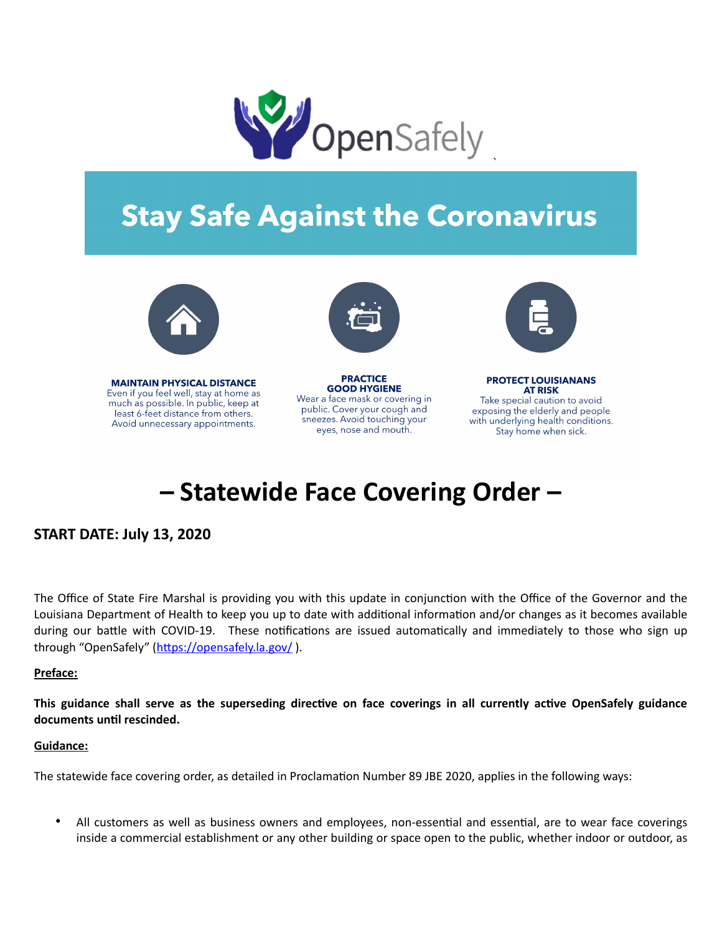

# **Stay Safe Against the Coronavirus**



**MAINTAIN PHYSICAL DISTANCE** Even if you feel well, stay at home as much as possible. In public, keep at least 6-feet distance from others. Avoid unnecessary appointments.



**PRACTICE GOOD HYGIENE** Wear a face mask or covering in public. Cover your cough and sneezes. Avoid touching your eyes, nose and mouth.



**PROTECT LOUISIANANS AT RISK** Take special caution to avoid exposing the elderly and people with underlying health conditions. Stay home when sick.

## **– Statewide Face Covering Order –**

### **START DATE: July 13, 2020**

The Office of State Fire Marshal is providing you with this update in conjunction with the Office of the Governor and the Louisiana Department of Health to keep you up to date with additional information and/or changes as it becomes available during our battle with COVID-19. These notifications are issued automatically and immediately to those who sign up through "OpenSafely" (https://opensafely.la.gov/).

#### **Preface:**

This guidance shall serve as the superseding directive on face coverings in all currently active OpenSafely guidance documents until rescinded.

#### **Guidance:**

The statewide face covering order, as detailed in Proclamation Number 89 JBE 2020, applies in the following ways:

All customers as well as business owners and employees, non-essential and essential, are to wear face coverings inside a commercial establishment or any other building or space open to the public, whether indoor or outdoor, as